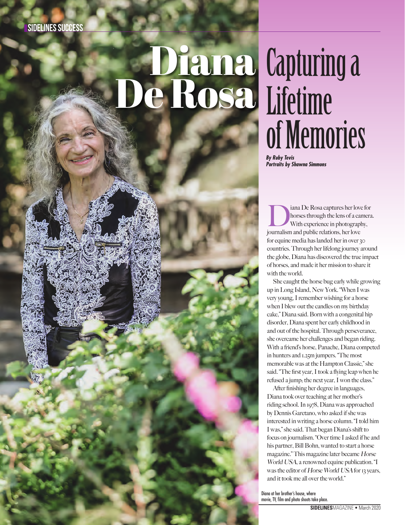# Diana Capturing a

## Lifetime of Memories

*By Ruby Tevis Portraits by Shawna Simmons*

iana De Rosa captures her love for<br>horses through the lens of a camera<br>With experience in photography,<br>journalism and nublic relations her love horses through the lens of a camera. With experience in photography, journalism and public relations, her love for equine media has landed her in over 30 countries. Through her lifelong journey around the globe, Diana has discovered the true impact of horses, and made it her mission to share it with the world.

She caught the horse bug early while growing up in Long Island, New York. "When I was very young, I remember wishing for a horse when I blew out the candles on my birthday cake," Diana said. Born with a congenital hip disorder, Diana spent her early childhood in and out of the hospital. Through perseverance, she overcame her challenges and began riding. With a friend's horse, Panache, Diana competed in hunters and 1.25m jumpers. "The most memorable was at the Hampton Classic," she said. "The first year, I took a flying leap when he refused a jump; the next year, I won the class."

After finishing her degree in languages, Diana took over teaching at her mother's riding school. In 1978, Diana was approached by Dennis Garetano, who asked if she was interested in writing a horse column. "I told him I was," she said. That began Diana's shift to focus on journalism. "Over time I asked if he and his partner, Bill Bohn, wanted to start a horse magazine." This magazine later became Horse World USA, a renowned equine publication. "I was the editor of Horse World USA for 13 years, and it took me all over the world."

Diana at her brother's house, where movie, TV, film and photo shoots take place.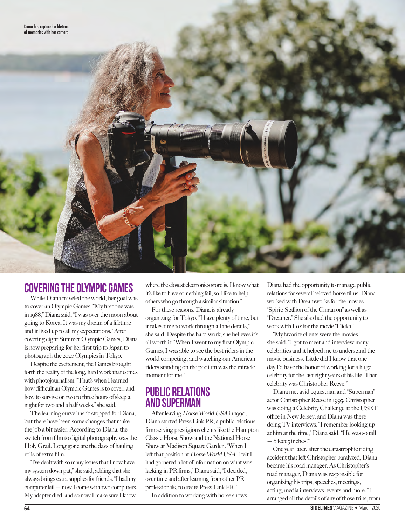

### **Covering the Olympic Games**

While Diana traveled the world, her goal was to cover an Olympic Games. "My first one was in 1988," Diana said. "I was over the moon about going to Korea. It was my dream of a lifetime and it lived up to all my expectations." After covering eight Summer Olympic Games, Diana is now preparing for her first trip to Japan to photograph the 2020 Olympics in Tokyo.

Despite the excitement, the Games brought forth the reality of the long, hard work that comes with photojournalism. "That's when I learned how difficult an Olympic Games is to cover, and how to survive on two to three hours of sleep a night for two and a half weeks," she said.

The learning curve hasn't stopped for Diana, but there have been some changes that make the job a bit easier. According to Diana, the switch from film to digital photography was the Holy Grail. Long gone are the days of hauling rolls of extra film.

"I've dealt with so many issues that I now have my system down pat," she said, adding that she always brings extra supplies for friends. "I had my computer fail — now I come with two computers. My adapter died, and so now I make sure I know

where the closest electronics store is. I know what it's like to have something fail, so I like to help others who go through a similar situation."

For these reasons, Diana is already organizing for Tokyo. "I have plenty of time, but it takes time to work through all the details," she said. Despite the hard work, she believes it's all worth it. "When I went to my first Olympic Games, I was able to see the best riders in the world competing, and watching our American riders standing on the podium was the miracle moment for me."

### **Public Relations and Superman**

After leaving Horse World USA in 1990, Diana started Press Link PR, a public relations firm serving prestigious clients like the Hampton Classic Horse Show and the National Horse Show at Madison Square Garden. "When I left that position at Horse World USA, I felt I had garnered a lot of information on what was lacking in PR firms," Diana said, "I decided, over time and after learning from other PR professionals, to create Press Link PR."

In addition to working with horse shows,

Diana had the opportunity to manage public relations for several beloved horse films. Diana worked with Dreamworks for the movies "Spirit: Stallion of the Cimarron" as well as "Dreamer." She also had the opportunity to work with Fox for the movie "Flicka."

"My favorite clients were the movies," she said. "I got to meet and interview many celebrities and it helped me to understand the movie business. Little did I know that one day I'd have the honor of working for a huge celebrity for the last eight years of his life. That celebrity was Christopher Reeve."

Diana met avid equestrian and "Superman" actor Christopher Reeve in 1995. Christopher was doing a Celebrity Challenge at the USET office in New Jersey, and Diana was there doing TV interviews. "I remember looking up at him at the time," Diana said. "He was so tall  $-6$  feet  $\frac{1}{2}$  inches!"

One year later, after the catastrophic riding accident that left Christopher paralyzed, Diana became his road manager. As Christopher's road manager, Diana was responsible for organizing his trips, speeches, meetings, acting, media interviews, events and more. "I arranged all the details of any of those trips, from